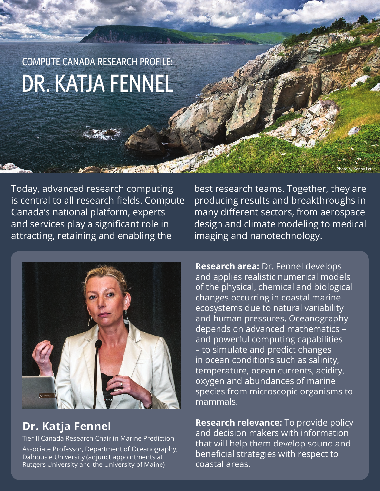# COMPUTE CANADA RESEARCH PROFILE: DR. KATJA FENNEL

Today, advanced research computing is central to all research fields. Compute Canada's national platform, experts and services play a significant role in attracting, retaining and enabling the



# **Dr. Katja Fennel**

Tier II Canada Research Chair in Marine Prediction Associate Professor, Department of Oceanography, Dalhousie University (adjunct appointments at Rutgers University and the University of Maine)

best research teams. Together, they are producing results and breakthroughs in many different sectors, from aerospace design and climate modeling to medical imaging and nanotechnology.

Photo by Kenny Louie

**Research area:** Dr. Fennel develops and applies realistic numerical models of the physical, chemical and biological changes occurring in coastal marine ecosystems due to natural variability and human pressures. Oceanography depends on advanced mathematics – and powerful computing capabilities – to simulate and predict changes in ocean conditions such as salinity, temperature, ocean currents, acidity, oxygen and abundances of marine species from microscopic organisms to mammals.

**Research relevance:** To provide policy and decision makers with information that will help them develop sound and beneficial strategies with respect to coastal areas.